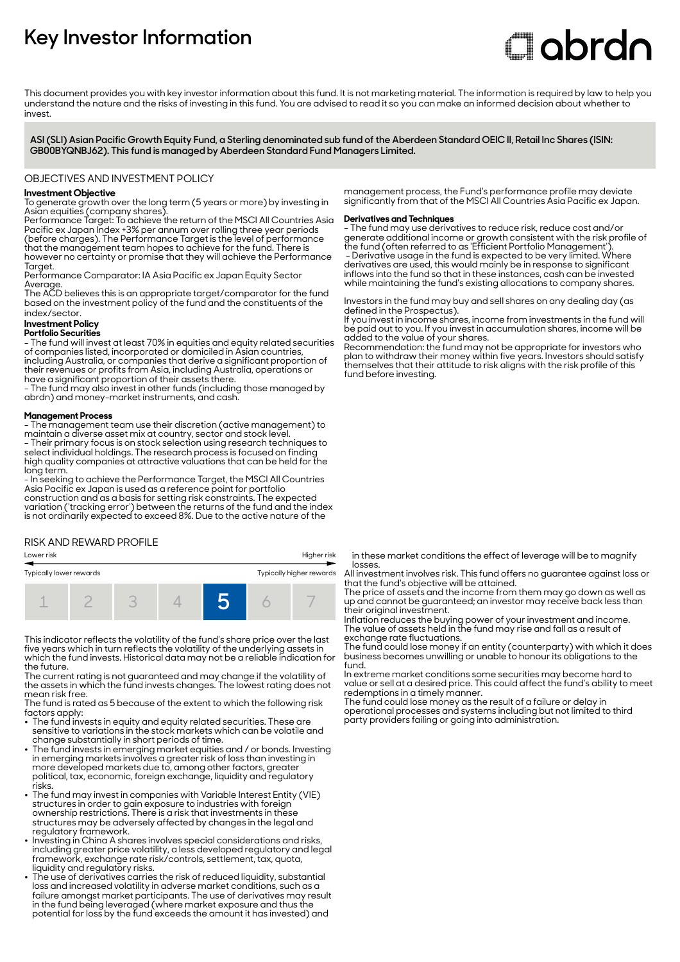## **Key Investor Information**

# **Clobrdn**

This document provides you with key investor information about this fund. It is not marketing material. The information is required by law to help you understand the nature and the risks of investing in this fund. You are advised to read it so you can make an informed decision about whether to invest

**ASI (SLI) Asian Pacific Growth Equity Fund, a Sterling denominated sub fund of the Aberdeen Standard OEIC II, Retail Inc Shares (ISIN: GB00BYQNBJ62). This fund is managed by Aberdeen Standard Fund Managers Limited.**

### OBJECTIVES AND INVESTMENT POLICY

### **Investment Objective**

To generate growth over the long term (5 years or more) by investing in Asian equities (company shares).

Performance Target: To achieve the return of the MSCI All Countries Asia Pacific ex Japan Index +3% per annum over rolling three year periods (before charges). The Performance Target is the level of performance that the management team hopes to achieve for the fund. There is however no certainty or promise that they will achieve the Performance Taraet.

Performance Comparator: IA Asia Pacific ex Japan Equity Sector Average.

The ACD believes this is an appropriate target/comparator for the fund based on the investment policy of the fund and the constituents of the index/sector.

### **Investment Policy**

### **Portfolio Securities**

- The fund will invest at least 70% in equities and equity related securities of companies listed, incorporated or domiciled in Asian countries, including Australia, or companies that derive a significant proportion of their revenues or profits from Asia, including Australia, operations or have a significant proportion of their assets there.

- The fund may also invest in other funds (including those managed by abrdn) and money-market instruments, and cash.

### **Management Process**

- The management team use their discretion (active management) to maintain a diverse asset mix at country, sector and stock level. - Their primary focus is on stock selection using research techniques to

select individual holdings. The research process is focused on finding high quality companies at attractive valuations that can be held for the long term.

- In seeking to achieve the Performance Target, the MSCI All Countries Asia Pacific ex Japan is used as a reference point for portfolio construction and as a basis for setting risk constraints. The expected variation ('tracking error') between the returns of the fund and the index is not ordinarily expected to exceed 8%. Due to the active nature of the

### RISK AND REWARD PROFILE

| Lower risk                                          |  | Higher risk |  |  |  |  |
|-----------------------------------------------------|--|-------------|--|--|--|--|
| Typically lower rewards<br>Typically higher rewards |  |             |  |  |  |  |
|                                                     |  |             |  |  |  |  |

This indicator reflects the volatility of the fund's share price over the last five years which in turn reflects the volatility of the underlying assets in which the fund invests. Historical data may not be a reliable indication for the future.

The current rating is not guaranteed and may change if the volatility of the assets in which the fund invests changes. The lowest rating does not mean risk free.

The fund is rated as 5 because of the extent to which the following risk factors apply: 2 The fund invests in equity and equity related securities. These are

- sensitive to variations in the stock markets which can be volatile and change substantially in short periods of time.
- The fund invests in emerging market equities and / or bonds. Investing in emerging markets involves a greater risk of loss than investing in more developed markets due to, among other factors, greater political, tax, economic, foreign exchange, liquidity and regulatory risks.
- 2 The fund may invest in companies with Variable Interest Entity (VIE) structures in order to gain exposure to industries with foreign ownership restrictions. There is a risk that investments in these structures may be adversely affected by changes in the legal and regulatory framework.
- Investing in China A shares involves special considerations and risks, including greater price volatility, a less developed regulatory and legal framework, exchange rate risk/controls, settlement, tax, quota, liquidity and regulatory risks.
- 2 The use of derivatives carries the risk of reduced liquidity, substantial loss and increased volatility in adverse market conditions, such as a failure amongst market participants. The use of derivatives may result in the fund being leveraged (where market exposure and thus the potential for loss by the fund exceeds the amount it has invested) and

management process, the Fund's performance profile may deviate significantly from that of the MSCI All Countries Asia Pacific ex Japan.

### **Derivatives and Techniques**

- The fund may use derivatives to reduce risk, reduce cost and/or generate additional income or growth consistent with the risk profile of the fund (often referred to as 'Efficient Portfolio Management').

 - Derivative usage in the fund is expected to be very limited. Where derivatives are used, this would mainly be in response to significant inflows into the fund so that in these instances, cash can be invested while maintaining the fund's existing allocations to company shares.

Investors in the fund may buy and sell shares on any dealing day (as defined in the Prospectus).

If you invest in income shares, income from investments in the fund will be paid out to you. If you invest in accumulation shares, income will be added to the value of your shares.

Recommendation: the fund may not be appropriate for investors who plan to withdraw their money within five years. Investors should satisfy themselves that their attitude to risk aligns with the risk profile of this fund before investing.

in these market conditions the effect of leverage will be to magnify losses.

All investment involves risk. This fund offers no guarantee against loss or that the fund's objective will be attained.

The price of assets and the income from them may go down as well as up and cannot be guaranteed; an investor may receive back less than their original investment.

Inflation reduces the buying power of your investment and income. The value of assets held in the fund may rise and fall as a result of exchange rate fluctuations.

The fund could lose money if an entity (counterparty) with which it does business becomes unwilling or unable to honour its obligations to the fund.

In extreme market conditions some securities may become hard to value or sell at a desired price. This could affect the fund's ability to meet redemptions in a timely manner.

The fund could lose money as the result of a failure or delay in operational processes and systems including but not limited to third party providers failing or going into administration.